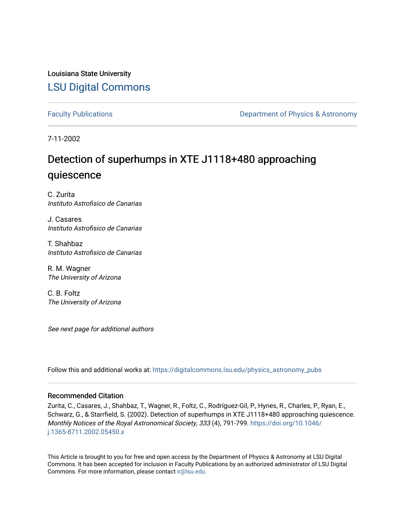Louisiana State University [LSU Digital Commons](https://digitalcommons.lsu.edu/)

[Faculty Publications](https://digitalcommons.lsu.edu/physics_astronomy_pubs) **Exercise 2 and Table 2 and Table 2 and Table 2 and Table 2 and Table 2 and Table 2 and Table 2 and Table 2 and Table 2 and Table 2 and Table 2 and Table 2 and Table 2 and Table 2 and Table 2 and Table** 

7-11-2002

# Detection of superhumps in XTE J1118+480 approaching quiescence

C. Zurita Instituto Astrofisico de Canarias

J. Casares Instituto Astrofisico de Canarias

T. Shahbaz Instituto Astrofisico de Canarias

R. M. Wagner The University of Arizona

C. B. Foltz The University of Arizona

See next page for additional authors

Follow this and additional works at: [https://digitalcommons.lsu.edu/physics\\_astronomy\\_pubs](https://digitalcommons.lsu.edu/physics_astronomy_pubs?utm_source=digitalcommons.lsu.edu%2Fphysics_astronomy_pubs%2F2652&utm_medium=PDF&utm_campaign=PDFCoverPages) 

## Recommended Citation

Zurita, C., Casares, J., Shahbaz, T., Wagner, R., Foltz, C., Rodríguez-Gil, P., Hynes, R., Charles, P., Ryan, E., Schwarz, G., & Starrfield, S. (2002). Detection of superhumps in XTE J1118+480 approaching quiescence. Monthly Notices of the Royal Astronomical Society, 333 (4), 791-799. [https://doi.org/10.1046/](https://doi.org/10.1046/j.1365-8711.2002.05450.x) [j.1365-8711.2002.05450.x](https://doi.org/10.1046/j.1365-8711.2002.05450.x) 

This Article is brought to you for free and open access by the Department of Physics & Astronomy at LSU Digital Commons. It has been accepted for inclusion in Faculty Publications by an authorized administrator of LSU Digital Commons. For more information, please contact [ir@lsu.edu](mailto:ir@lsu.edu).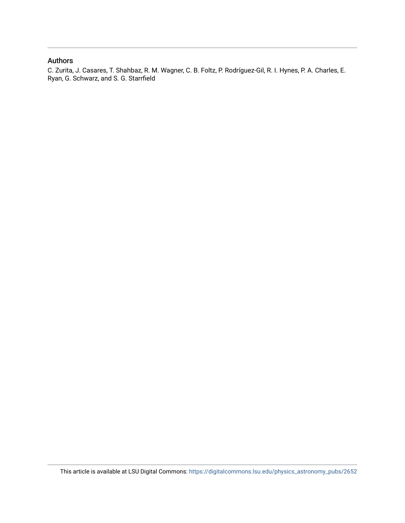# Authors

C. Zurita, J. Casares, T. Shahbaz, R. M. Wagner, C. B. Foltz, P. Rodríguez-Gil, R. I. Hynes, P. A. Charles, E. Ryan, G. Schwarz, and S. G. Starrfield

This article is available at LSU Digital Commons: [https://digitalcommons.lsu.edu/physics\\_astronomy\\_pubs/2652](https://digitalcommons.lsu.edu/physics_astronomy_pubs/2652)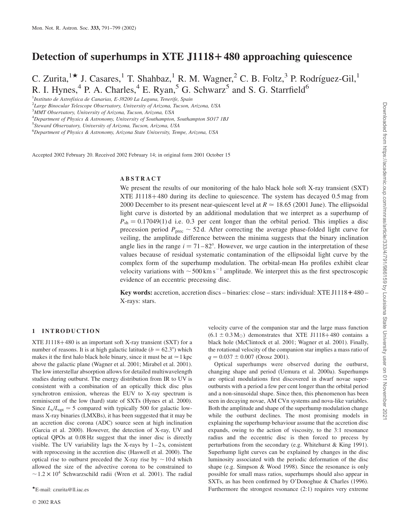# Detection of superhumps in  $XTE$  J1118+480 approaching quiescence

C. Zurita,<sup>1\*</sup> J. Casares,<sup>1</sup> T. Shahbaz,<sup>1</sup> R. M. Wagner,<sup>2</sup> C. B. Foltz,<sup>3</sup> P. Rodríguez-Gil,<sup>1</sup> R. I. Hynes,  $^{4}$  P. A. Charles,  $^{4}$  E. Ryan,  $^{5}$  G. Schwarz<sup>5</sup> and S. G. Starrfield<sup>6</sup>

<sup>1</sup>Instituto de Astrofísica de Canarias, E-38200 La Laguna, Tenerife, Spain

<sup>2</sup>Large Binocular Telescope Observatory, University of Arizona, Tucson, Arizona, USA

<sup>3</sup>MMT Observatory, University of Arizona, Tucson, Arizona, USA

<sup>4</sup>Department of Physics & Astronomy, University of Southampton, Southampton SO17 1BJ

<sup>6</sup>Department of Physics & Astronomy, Arizona State University, Tempe, Arizona, USA

Accepted 2002 February 20. Received 2002 February 14; in original form 2001 October 15

#### ABSTRACT

We present the results of our monitoring of the halo black hole soft X-ray transient (SXT) XTE  $J1118+480$  during its decline to quiescence. The system has decayed 0.5 mag from 2000 December to its present near-quiescent level at  $R \approx 18.65$  (2001 June). The ellipsoidal light curve is distorted by an additional modulation that we interpret as a superhump of  $P_{\rm sh} = 0.17049(1)$ d i.e. 0.3 per cent longer than the orbital period. This implies a disc precession period  $P_{\text{prec}} \sim 52$  d. After correcting the average phase-folded light curve for veiling, the amplitude difference between the minima suggests that the binary inclination angle lies in the range  $i = 71-82^{\circ}$ . However, we urge caution in the interpretation of these values because of residual systematic contamination of the ellipsoidal light curve by the complex form of the superhump modulation. The orbital-mean  $H\alpha$  profiles exhibit clear velocity variations with  $\sim$  500 km s<sup>-1</sup> amplitude. We interpret this as the first spectroscopic evidence of an eccentric precessing disc.

Key words: accretion, accretion discs – binaries: close – stars: individual: XTE J1118+480 – X-rays: stars.

#### 1 INTRODUCTION

XTE J1118 $+480$  is an important soft X-ray transient (SXT) for a number of reasons. It is at high galactic latitude  $(b = 62.3^{\circ})$  which makes it the first halo black hole binary, since it must be at  $\simeq$  1 kpc above the galactic plane (Wagner et al. 2001; Mirabel et al. 2001). The low interstellar absorption allows for detailed multiwavelength studies during outburst. The energy distribution from IR to UV is consistent with a combination of an optically thick disc plus synchrotron emission, whereas the EUV to X-ray spectrum is reminiscent of the low (hard) state of SXTs (Hynes et al. 2000). Since  $L_x/L_{opt} \approx 5$  compared with typically 500 for galactic lowmass X-ray binaries (LMXBs), it has been suggested that it may be an accretion disc corona (ADC) source seen at high inclination (Garcia et al. 2000). However, the detection of X-ray, UV and optical QPOs at 0.08 Hz suggest that the inner disc is directly visible. The UV variability lags the X-rays by  $1-2s$ , consistent with reprocessing in the accretion disc (Haswell et al. 2000). The optical rise to outburst preceded the X-ray rise by  $\sim$  10 d which allowed the size of the advective corona to be constrained to  $\sim$  1.2  $\times$  10<sup>4</sup> Schwarzschild radii (Wren et al. 2001). The radial

velocity curve of the companion star and the large mass function  $(6.1 \pm 0.3 \text{ M}_\odot)$  demonstrates that XTE J1118+480 contains a black hole (McClintock et al. 2001; Wagner et al. 2001). Finally, the rotational velocity of the companion star implies a mass ratio of  $q = 0.037 \pm 0.007$  (Orosz 2001).

Optical superhumps were observed during the outburst, changing shape and period (Uemura et al. 2000a). Superhumps are optical modulations first discovered in dwarf novae superoutbursts with a period a few per cent longer than the orbital period and a non-sinusoidal shape. Since then, this phenomenon has been seen in decaying novae, AM CVn systems and nova-like variables. Both the amplitude and shape of the superhump modulation change while the outburst declines. The most promising models in explaining the superhump behaviour assume that the accretion disc expands, owing to the action of viscosity, to the 3:1 resonance radius and the eccentric disc is then forced to precess by perturbations from the secondary (e.g. Whitehurst & King 1991). Superhump light curves can be explained by changes in the disc luminosity associated with the periodic deformation of the disc shape (e.g. Simpson & Wood 1998). Since the resonance is only possible for small mass ratios, superhumps should also appear in SXTs, as has been confirmed by O'Donoghue & Charles (1996). \*E-mail: czurita@ll.iac.es **Furthermore the strongest resonance (2:1) requires very extreme** PE-mail: czurita@ll.iac.es

<sup>5</sup> Steward Observatory, University of Arizona, Tucson, Arizona, USA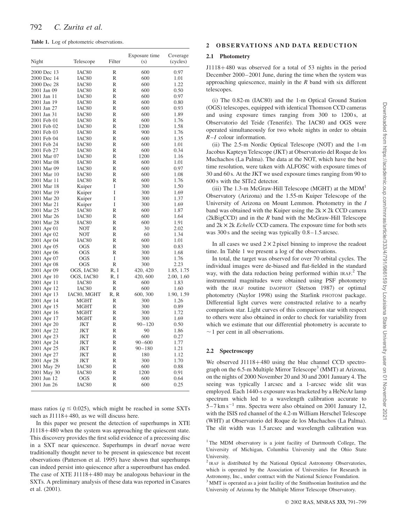Table 1. Log of photometric observations.

|             |                   |              | Exposure time | Coverage   |
|-------------|-------------------|--------------|---------------|------------|
| Night       | Telescope         | Filter       | (s)           | (cycles)   |
| 2000 Dec 13 | IAC80             | R            | 600           | 0.97       |
| 2000 Dec 14 | IAC80             | $\mathbb{R}$ | 600           | 1.01       |
| 2000 Dec 28 | IAC80             | R            | 600           | 1.22       |
| 2001 Jan 09 | IAC80             | R            | 600           | 0.50       |
| 2001 Jan 11 | IAC80             | $\mathbb{R}$ | 600           | 0.97       |
| 2001 Jan 19 | IAC80             | R            | 600           | 0.80       |
| 2001 Jan 27 | IAC80             | $\mathbb{R}$ | 600           | 0.93       |
| 2001 Jan 31 | IAC80             | $\mathbb{R}$ | 600           | 1.89       |
| 2001 Feb 01 | IAC80             | R            | 600           | 1.76       |
| 2001 Feb 02 | IAC80             | R            | 1200          | 1.58       |
| 2001 Feb 03 | IAC80             | R            | 900           | 1.76       |
| 2001 Feb 04 | IAC80             | $\mathbb{R}$ | 600           | 1.35       |
| 2001 Feb 24 | IAC80             | R            | 600           | 1.01       |
| 2001 Feb 27 | IAC80             | R            | 600           | 0.34       |
| 2001 Mar 07 | IAC80             | $\mathbb{R}$ | 1200          | 1.16       |
| 2001 Mar 08 | IAC80             | R            | 600           | 1.01       |
| 2001 Mar 09 | IAC <sub>80</sub> | $\mathbb{R}$ | 600           | 0.97       |
| 2001 Mar 10 | IAC80             | R            | 600           | 1.08       |
| 2001 Mar 11 | IAC80             | R            | 600           | 1.76       |
| 2001 Mar 18 | Kuiper            | I            | 300           | 1.50       |
| 2001 Mar 19 | Kuiper            | I            | 300           | 1.69       |
| 2001 Mar 20 | Kuiper            | I            | 300           | 1.37       |
| 2001 Mar 21 | Kuiper            | I            | 300           | 1.69       |
| 2001 Mar 25 | IAC80             | $\mathbb{R}$ | 600           | 1.87       |
| 2001 Mar 26 | IAC80             | R            | 600           | 1.64       |
| 2001 Mar 28 | IAC80             | R            | 600           | 1.91       |
| 2001 Apr 01 | NOT               | R            | 30            | 2.02       |
| 2001 Apr 02 | <b>NOT</b>        | R            | 60            | 1.34       |
| 2001 Apr 04 | IAC80             | R            | 600           | 1.01       |
| 2001 Apr 05 | OGS               | $\mathbb{R}$ | 300           | 0.83       |
| 2001 Apr 06 | <b>OGS</b>        | R            | 300           | 1.68       |
| 2001 Apr 07 | <b>OGS</b>        | I            | 300           | 1.76       |
| 2001 Apr 08 | <b>OGS</b>        | R            | 300           | 2.23       |
| 2001 Apr 09 | OGS, IAC80        | R, I         | 420, 420      | 1.85, 1.75 |
| 2001 Apr 10 | OGS, IAC80        | R, I         | 420, 600      | 2.00, 1.60 |
| 2001 Apr 11 | IAC80             | R            | 600           | 1.83       |
| 2001 Apr 12 | IAC80             | R            | 600           | 1.60       |
| 2001 Apr 13 | IAC80, MGHT       | R, R         | 600, 300      | 1.90, 1.59 |
| 2001 Apr 14 | MGHT              | R            | 300           | 1.26       |
| 2001 Apr 15 | MGHT              | R            | 300           | 0.89       |
| 2001 Apr 16 | <b>MGHT</b>       | R            | 300           | 1.72       |
| 2001 Apr 17 | MGHT              | R            | 300           | 1.69       |
| 2001 Apr 20 | <b>JKT</b>        | R            | $90 - 120$    | 0.50       |
| 2001 Apr 22 | JKT               | R            | 90            | 1.86       |
| 2001 Apr 23 | JKT               | R            | 600           | 0.27       |
| 2001 Apr 24 | <b>JKT</b>        | R            | $90 - 600$    | 1.77       |
| 2001 Apr 25 | JKT               | R            | $90 - 180$    | 1.21       |
| 2001 Apr 27 | <b>JKT</b>        | R            | 180           | 1.12       |
| 2001 Apr 28 | <b>JKT</b>        | R            | 300           | 1.70       |
| 2001 May 29 | IAC80             | R            | 600           | 0.88       |
| 2001 May 30 | IAC80             | R            | 1200          | 0.91       |
| 2001 Jun 12 | <b>OGS</b>        | R            | 600           | 0.64       |
| 2001 Jun 26 | IAC80             | $\mathbb{R}$ | 600           | 0.25       |

mass ratios ( $q \le 0.025$ ), which might be reached in some SXTs such as  $J1118+480$ , as we will discuss here.

In this paper we present the detection of superhumps in XTE J1118+480 when the system was approaching the quiescent state. This discovery provides the first solid evidence of a precessing disc in a SXT near quiescence. Superhumps in dwarf novae were traditionally thought never to be present in quiescence but recent observations (Patterson et al. 1995) have shown that superhumps can indeed persist into quiescence after a superoutburst has ended. The case of XTE J1118 $+480$  may be analogous behaviour in the SXTs. A preliminary analysis of these data was reported in Casares et al. (2001).

#### 2 OBSERVATIONS AND DATA REDUCTION

#### 2.1 Photometry

 $J1118+480$  was observed for a total of 53 nights in the period December 2000–2001 June, during the time when the system was approaching quiescence, mainly in the  $R$  band with six different telescopes.

(i) The 0.82-m (IAC80) and the 1-m Optical Ground Station (OGS) telescopes, equipped with identical Thomson CCD cameras and using exposure times ranging from 300 to 1200 s, at Observatorio del Teide (Tenerife). The IAC80 and OGS were operated simultaneously for two whole nights in order to obtain R–I colour information.

(ii) The 2.5-m Nordic Optical Telescope (NOT) and the 1-m Jacobus Kapteyn Telescope (JKT) at Observatorio del Roque de los Muchachos (La Palma). The data at the NOT, which have the best time resolution, were taken with ALFOSC with exposure times of 30 and 60 s. At the JKT we used exposure times ranging from 90 to 600 s with the SITe2 detector.

(iii) The 1.3-m McGraw-Hill Telescope (MGHT) at the  $MDM<sup>1</sup>$ Observatory (Arizona) and the 1.55-m Kuiper Telescope of the University of Arizona on Mount Lemmon. Photometry in the I band was obtained with the Kuiper using the  $2k \times 2k$  CCD camera  $(2kBigCCD)$  and in the R band with the McGraw-Hill Telescope and  $2k \times 2k$  *Echelle* CCD camera. The exposure time for both sets was 300 s and the seeing was typically  $0.8-1.5$  arcsec.

In all cases we used  $2 \times 2$  pixel binning to improve the readout time. In Table 1 we present a log of the observations.

In total, the target was observed for over 70 orbital cycles. The individual images were de-biased and flat-fielded in the standard way, with the data reduction being performed within IRAF. <sup>2</sup> The instrumental magnitudes were obtained using PSF photometry with the IRAF routine DAOPHOT (Stetson 1987) or optimal photometry (Naylor 1998) using the Starlink PHOTOM package. Differential light curves were constructed relative to a nearby comparison star. Light curves of this comparison star with respect to others were also obtained in order to check for variability from which we estimate that our differential photometry is accurate to  $\sim$  1 per cent in all observations.

#### 2.2 Spectroscopy

We observed  $J1118+480$  using the blue channel CCD spectrograph on the  $6.5$ -m Multiple Mirror Telescope<sup>3</sup> (MMT) at Arizona, on the nights of 2000 November 20 and 30 and 2001 January 4. The seeing was typically 1 arcsec and a 1-arcsec wide slit was employed. Each 1440-s exposure was bracketed by a HeNeAr lamp spectrum which led to a wavelength calibration accurate to  $5-7$  km s<sup> $-1$ </sup> rms. Spectra were also obtained on 2001 January 12, with the ISIS red channel of the 4.2-m William Herschel Telescope (WHT) at Observatorio del Roque de los Muchachos (La Palma). The slit width was 1.5 arcsec and wavelength calibration was

<sup>&</sup>lt;sup>1</sup> The MDM observatory is a joint facility of Dartmouth College, The University of Michigan, Columbia University and the Ohio State University.

<sup>&</sup>lt;sup>2</sup> IRAF is distributed by the National Optical Astronomy Observatories, which is operated by the Association of Universities for Research in Astronomy, Inc., under contract with the National Science Foundation.

<sup>&</sup>lt;sup>3</sup> MMT is operated as a joint facility of the Smithsonian Institution and the University of Arizona by the Multiple Mirror Telescope Observatory.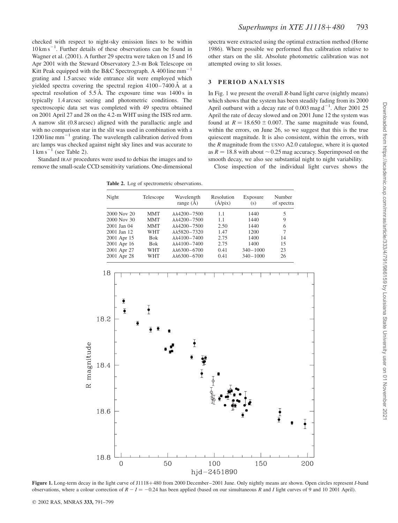checked with respect to night-sky emission lines to be within  $10 \text{ km s}^{-1}$ . Further details of these observations can be found in Wagner et al. (2001). A further 29 spectra were taken on 15 and 16 Apr 2001 with the Steward Observatory 2.3-m Bok Telescope on Kitt Peak equipped with the B&C Spectrograph. A 400 line  $mm^{-1}$ grating and 1.5 arcsec wide entrance slit were employed which yielded spectra covering the spectral region  $4100-7400 \text{ Å}$  at a spectral resolution of  $5.5 \text{ Å}$ . The exposure time was  $1400 \text{ s}$  in typically 1.4 arcsec seeing and photometric conditions. The spectroscopic data set was completed with 49 spectra obtained on 2001 April 27 and 28 on the 4.2-m WHT using the ISIS red arm. A narrow slit (0.8 arcsec) aligned with the parallactic angle and with no comparison star in the slit was used in combination with a  $1200$  line mm<sup>-1</sup> grating. The wavelength calibration derived from arc lamps was checked against night sky lines and was accurate to  $1 \text{ km s}^{-1}$  (see Table 2).

Standard IRAF procedures were used to debias the images and to remove the small-scale CCD sensitivity variations. One-dimensional

Table 2. Log of spectrometric observations.

spectra were extracted using the optimal extraction method (Horne 1986). Where possible we performed flux calibration relative to other stars on the slit. Absolute photometric calibration was not attempted owing to slit losses.

#### 3 PERIOD ANALYSIS

In Fig. 1 we present the overall  $R$ -band light curve (nightly means) which shows that the system has been steadily fading from its 2000 April outburst with a decay rate of 0.003 mag  $d^{-1}$ . After 2001 25 April the rate of decay slowed and on 2001 June 12 the system was found at  $R = 18.650 \pm 0.007$ . The same magnitude was found, within the errors, on June 26, so we suggest that this is the true quiescent magnitude. It is also consistent, within the errors, with the  $R$  magnitude from the USNO A2.0 catalogue, where it is quoted as  $R = 18.8$  with about  $\sim 0.25$  mag accuracy. Superimposed on the smooth decay, we also see substantial night to night variability.

Close inspection of the individual light curves shows the

Night Telescope Wavelength Resolution Exposure Number range  $(A)$   $(A/pix)$   $(s)$  of spectra 2000 Nov 20 MMT λλ4200-7500 1.1 1440 5<br>2000 Nov 30 MMT λλ4200-7500 1.1 1440 9 2000 Nov 30 MMT  $\lambda\lambda$ 4200–7500 1.1 1440 2001 Jan 04 MMT λλ4200-7500 2.50 1440 6<br>2001 Jan 12 WHT λλ5820-7320 1.47 1200 7  $\lambda \lambda 5820 - 7320$ 2001 Apr 15 Bok λλ4100–7400 2.75 1400 14<br>
2001 Apr 16 Bok λλ4100–7400 2.75 1400 15  $\lambda\lambda$ 4100–7400 2001 Apr 27 WHT λλ6300-6700 0.41 340-1000 23<br>2001 Apr 28 WHT λλ6300-6700 0.41 340-1000 26  $\lambda\lambda$ 6300–6700 0.41 18  $\overline{\mathbf{2}}$ Ō 18.2  $\overline{\mathbf{I}}$ Ÿ 18.4  $\ddot{\bullet}$ 18.6  $\frac{1}{2}$ 18.8  $\overline{O}$ 50 100 150 200

Figure 1. Long-term decay in the light curve of J1118+480 from 2000 December–2001 June. Only nightly means are shown. Open circles represent *I*-band observations, where a colour correction of  $R - I = -0.24$  has been applied (based on our simultaneous R and I light curves of 9 and 10 2001 April).

hjd-2451890

magnitude

 $\approx$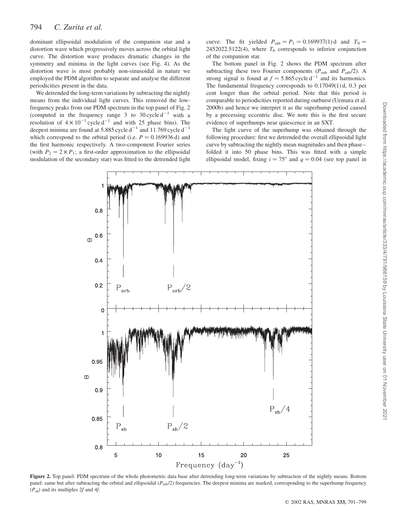dominant ellipsoidal modulation of the companion star and a distortion wave which progressively moves across the orbital light curve. The distortion wave produces dramatic changes in the symmetry and minima in the light curves (see Fig. 4). As the distortion wave is most probably non-sinusoidal in nature we employed the PDM algorithm to separate and analyse the different periodicities present in the data.

We detrended the long-term variations by subtracting the nightly means from the individual light curves. This removed the lowfrequency peaks from our PDM spectrum in the top panel of Fig. 2 (computed in the frequency range 3 to  $30 \text{ cycle d}^{-1}$  with a resolution of  $4 \times 10^{-3}$  cycle d<sup>-1</sup> and with 25 phase bins). The deepest minima are found at 5.885 cycle  $d^{-1}$  and 11.769 cycle  $d^{-1}$ which correspond to the orbital period (i.e.  $P = 0.169936 d$ ) and the first harmonic respectively. A two-component Fourier series (with  $P_2 = 2 \times P_1$ ; a first-order approximation to the ellipsoidal modulation of the secondary star) was fitted to the detrended light curve. The fit yielded  $P_{\text{orb}} = P_1 = 0.169937(1)$ d and  $T_0 =$ 2452022.5122(4), where  $T_0$  corresponds to inferior conjunction of the companion star.

The bottom panel in Fig. 2 shows the PDM spectrum after subtracting these two Fourier components ( $P_{\text{orb}}$  and  $P_{\text{orb}}/2$ ). A strong signal is found at  $f = 5.865$  cycle d<sup>-1</sup> and its harmonics. The fundamental frequency corresponds to  $0.17049(1)$  d,  $0.3$  per cent longer than the orbital period. Note that this period is comparable to periodicities reported during outburst (Uemura et al. 2000b) and hence we interpret it as the superhump period caused by a precessing eccentric disc. We note this is the first secure evidence of superhumps near quiescence in an SXT.

The light curve of the superhump was obtained through the following procedure: first we detrended the overall ellipsoidal light curve by subtracting the nightly mean magnitudes and then phase– folded it into 50 phase bins. This was fitted with a simple ellipsoidal model, fixing  $i = 75^{\circ}$  and  $q = 0.04$  (see top panel in



Figure 2. Top panel: PDM spectrum of the whole photometric data base after detrending long-term variations by subtraction of the nightly means. Bottom panel: same but after subtracting the orbital and ellipsoidal ( $P_{orb}/2$ ) frequencies. The deepest minima are marked, corresponding to the superhump frequency  $(P_{sh})$  and its multiples 2f and 4f.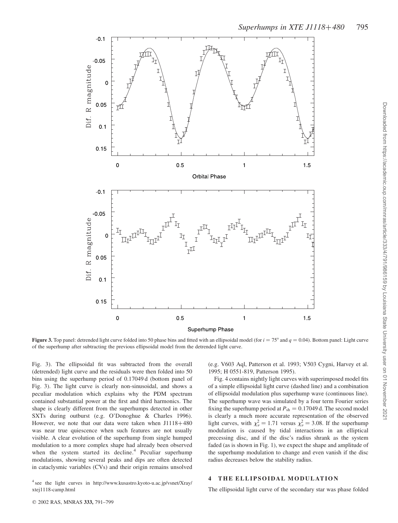

**Figure 3.** Top panel: detrended light curve folded into 50 phase bins and fitted with an ellipsoidal model (for  $i = 75^{\circ}$  and  $q = 0.04$ ). Bottom panel: Light curve of the superhump after subtracting the previous ellipsoidal model from the detrended light curve.

Fig. 3). The ellipsoidal fit was subtracted from the overall (detrended) light curve and the residuals were then folded into 50 bins using the superhump period of 0.17049 d (bottom panel of Fig. 3). The light curve is clearly non-sinusoidal, and shows a peculiar modulation which explains why the PDM spectrum contained substantial power at the first and third harmonics. The shape is clearly different from the superhumps detected in other SXTs during outburst (e.g. O'Donoghue & Charles 1996). However, we note that our data were taken when  $J1118+480$ was near true quiescence when such features are not usually visible. A clear evolution of the superhump from single humped modulation to a more complex shape had already been observed when the system started its decline.<sup>4</sup> Peculiar superhump modulations, showing several peaks and dips are often detected in cataclysmic variables (CVs) and their origin remains unsolved

<sup>4</sup> see the light curves in http://www.kusastro.kyoto-u.ac.jp/vsnet/Xray/ xtej1118-camp.html

(e.g. V603 Aql, Patterson et al. 1993; V503 Cygni, Harvey et al. 1995; H 0551-819, Patterson 1995).

Fig. 4 contains nightly light curves with superimposed model fits of a simple ellipsoidal light curve (dashed line) and a combination of ellipsoidal modulation plus superhump wave (continuous line). The superhump wave was simulated by a four term Fourier series fixing the superhump period at  $P_{\text{sh}} = 0.17049$  d. The second model is clearly a much more accurate representation of the observed light curves, with  $\chi^2_{\nu} = 1.71$  versus  $\chi^2_{\nu} = 3.08$ . If the superhump modulation is caused by tidal interactions in an elliptical precessing disc, and if the disc's radius shrank as the system faded (as is shown in Fig. 1), we expect the shape and amplitude of the superhump modulation to change and even vanish if the disc radius decreases below the stability radius.

#### 4 THE ELLIPSOIDAL MODULATION

The ellipsoidal light curve of the secondary star was phase folded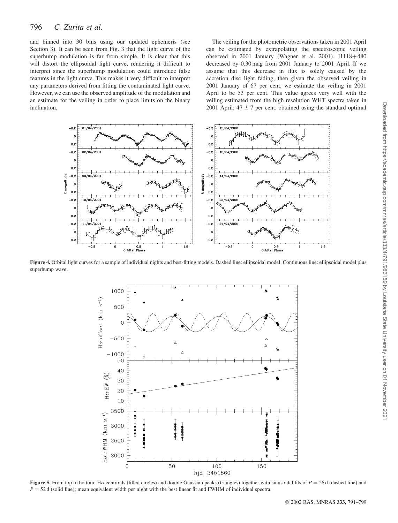## 796 C. Zurita et al.

and binned into 30 bins using our updated ephemeris (see Section 3). It can be seen from Fig. 3 that the light curve of the superhump modulation is far from simple. It is clear that this will distort the ellipsoidal light curve, rendering it difficult to interpret since the superhump modulation could introduce false features in the light curve. This makes it very difficult to interpret any parameters derived from fitting the contaminated light curve. However, we can use the observed amplitude of the modulation and an estimate for the veiling in order to place limits on the binary inclination.

The veiling for the photometric observations taken in 2001 April can be estimated by extrapolating the spectroscopic veiling observed in 2001 January (Wagner et al. 2001). J $1118+480$ decreased by 0.30 mag from 2001 January to 2001 April. If we assume that this decrease in flux is solely caused by the accretion disc light fading, then given the observed veiling in 2001 January of 67 per cent, we estimate the veiling in 2001 April to be 53 per cent. This value agrees very well with the veiling estimated from the high resolution WHT spectra taken in 2001 April;  $47 \pm 7$  per cent, obtained using the standard optimal



Figure 4. Orbital light curves for a sample of individual nights and best-fitting models. Dashed line: ellipsoidal model. Continuous line: ellipsoidal model plus superhump wave.



Figure 5. From top to bottom: H $\alpha$  centroids (filled circles) and double Gaussian peaks (triangles) together with sinusoidal fits of  $P = 26$  d (dashed line) and  $P = 52$  d (solid line); mean equivalent width per night with the best linear fit and FWHM of individual spectra.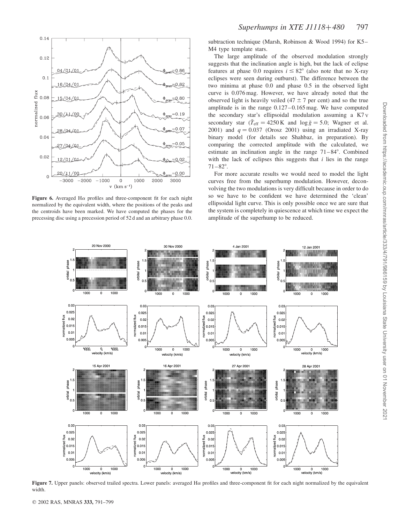

Figure 6. Averaged H $\alpha$  profiles and three-component fit for each night normalized by the equivalent width, where the positions of the peaks and the centroids have been marked. We have computed the phases for the precessing disc using a precession period of 52 d and an arbitrary phase 0.0.

subtraction technique (Marsh, Robinson & Wood 1994) for K5– M4 type template stars.

The large amplitude of the observed modulation strongly suggests that the inclination angle is high, but the lack of eclipse features at phase 0.0 requires  $i \leq 82^{\circ}$  (also note that no X-ray eclipses were seen during outburst). The difference between the two minima at phase 0.0 and phase 0.5 in the observed light curve is 0.076 mag. However, we have already noted that the observed light is heavily veiled  $(47 \pm 7$  per cent) and so the true amplitude is in the range  $0.127 - 0.165$  mag. We have computed the secondary star's ellipsoidal modulation assuming a K7 V secondary star  $(\bar{T}_{\text{eff}} = 4250 \text{ K}$  and  $\log \bar{g} = 5.0$ ; Wagner et al. 2001) and  $q = 0.037$  (Orosz 2001) using an irradiated X-ray binary model (for details see Shahbaz, in preparation). By comparing the corrected amplitude with the calculated, we estimate an inclination angle in the range  $71-84^\circ$ . Combined with the lack of eclipses this suggests that  $i$  lies in the range  $71-82^{\circ}$ .

For more accurate results we would need to model the light curves free from the superhump modulation. However, deconvolving the two modulations is very difficult because in order to do so we have to be confident we have determined the 'clean' ellipsoidal light curve. This is only possible once we are sure that the system is completely in quiescence at which time we expect the amplitude of the superhump to be reduced.



Figure 7. Upper panels: observed trailed spectra. Lower panels: averaged Ha profiles and three-component fit for each night normalized by the equivalent width.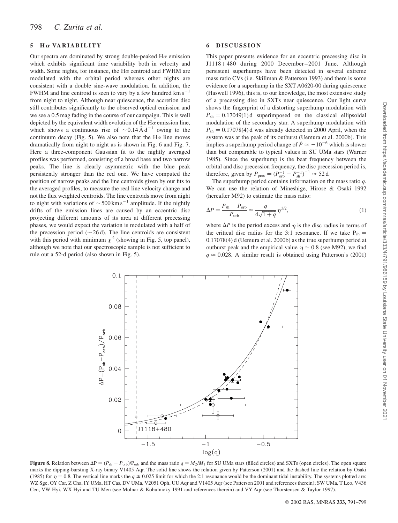#### $5$  H $\alpha$  VARIABILITY

Our spectra are dominated by strong double-peaked  $H\alpha$  emission which exhibits significant time variability both in velocity and width. Some nights, for instance, the  $H\alpha$  centroid and FWHM are modulated with the orbital period whereas other nights are consistent with a double sine-wave modulation. In addition, the FWHM and line centroid is seen to vary by a few hundred  $km s^{-1}$ from night to night. Although near quiescence, the accretion disc still contributes significantly to the observed optical emission and we see a 0.5 mag fading in the course of our campaign. This is well depicted by the equivalent width evolution of the  $H\alpha$  emission line, which shows a continuous rise of  $\sim 0.14 \text{ Å d}^{-1}$  owing to the continuum decay (Fig. 5). We also note that the  $H\alpha$  line moves dramatically from night to night as is shown in Fig. 6 and Fig. 7. Here a three-component Gaussian fit to the nightly averaged profiles was performed, consisting of a broad base and two narrow peaks. The line is clearly asymmetric with the blue peak persistently stronger than the red one. We have computed the position of narrow peaks and the line centroids given by our fits to the averaged profiles, to measure the real line velocity change and not the flux weighted centroids. The line centroids move from night to night with variations of  $\sim$  500 km s<sup>-1</sup> amplitude. If the nightly drifts of the emission lines are caused by an eccentric disc projecting different amounts of its area at different precessing phases, we would expect the variation is modulated with a half of the precession period ( $\sim$  26 d). The line centroids are consistent with this period with minimum  $\chi^2$  (showing in Fig. 5, top panel), although we note that our spectroscopic sample is not sufficient to rule out a 52-d period (also shown in Fig. 5).

#### 6 DISCUSSION

This paper presents evidence for an eccentric precessing disc in J1118þ480 during 2000 December–2001 June. Although persistent superhumps have been detected in several extreme mass ratio CVs (i.e. Skillman & Patterson 1993) and there is some evidence for a superhump in the SXT A0620-00 during quiescence (Haswell 1996), this is, to our knowledge, the most extensive study of a precessing disc in SXTs near quiescence. Our light curve shows the fingerprint of a distorting superhump modulation with  $P_{\rm sh} = 0.17049(1)$ d superimposed on the classical ellipsoidal modulation of the secondary star. A superhump modulation with  $P_{\rm sh} = 0.17078(4)$  d was already detected in 2000 April, when the system was at the peak of its outburst (Uemura et al. 2000b). This implies a superhump period change of  $\dot{P} \approx -10^{-6}$  which is slower than but comparable to typical values in SU UMa stars (Warner 1985). Since the superhump is the beat frequency between the orbital and disc precession frequency, the disc precession period is, therefore, given by  $P_{\text{prec}} = (P_{\text{orb}}^{-1} - P_{\text{sh}}^{-1})^{-1} \approx 52 \text{ d.}$ 

The superhump period contains information on the mass ratio  $q$ . We can use the relation of Mineshige, Hirose & Osaki 1992 (hereafter M92) to estimate the mass ratio:

$$
\Delta P = \frac{P_{\rm sh} - P_{\rm orb}}{P_{\rm orb}} \simeq \frac{q}{4\sqrt{1+q}} \eta^{3/2},\tag{1}
$$

where  $\Delta P$  is the period excess and  $\eta$  is the disc radius in terms of the critical disc radius for the 3:1 resonance. If we take  $P_{sh} =$  $0.17078(4)$  d (Uemura et al. 2000b) as the true superhump period at outburst peak and the empirical value  $\eta \simeq 0.8$  (see M92), we find  $q \approx 0.028$ . A similar result is obtained using Patterson's (2001)



Figure 8. Relation between  $\Delta P = (P_{sh} - P_{orb})/P_{orb}$  and the mass ratio  $q = M_2/M_1$  for SU UMa stars (filled circles) and SXTs (open circles). The open square marks the dipping-bursting X-ray binary V1405 Aqr. The solid line shows the relation given by Patterson (2001) and the dashed line the relation by Osaki (1985) for  $\eta = 0.8$ . The vertical line marks the  $q \le 0.025$  limit for which the 2:1 resonance would be the dominant tidal instability. The systems plotted are: WZ Sge, OY Car, Z Cha, IY UMa, HT Cas, DV UMa, V2051 Oph, UU Aqr and V1405 Aqr (see Patterson 2001 and references therein); SW UMa, T Leo, V436 Cen, VW Hyi, WX Hyi and TU Men (see Molnar & Kobulnicky 1991 and references therein) and VY Aqr (see Thorstensen & Taylor 1997).